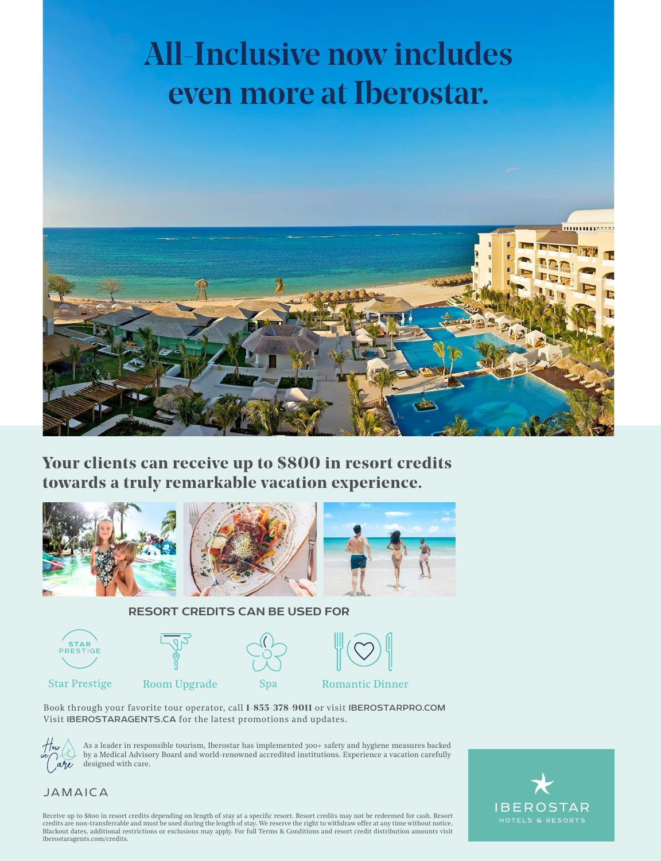## All-Inclusive now includes even more at Iberostar.



**Your clients can receive up to \$800 in resort credits towards a truly remarkable vacation experience.**







#### RESORT CREDITS CAN BE USED FOR



Book through your favorite tour operator, call **1-855-378-9011** or visit IBEROSTARPRO.COM Visit IBEROSTARAGENTS.CA for the latest promotions and updates.



As a leader in responsible tourism, Iberostar has implemented 300+ safety and hygiene measures backed by a Medical Advisory Board and world-renowned accredited institutions. Experience a vacation carefully  $a\%$  designed with care.

# **IBEROSTAR**

### JAMAICA

Receive up to \$800 in resort credits depending on length of stay at a specific resort. Resort credits may not be redeemed for cash. Resort credits are non-transferrable and must be used during the length of stay. We reserve the right to withdraw offer at any time without notice.<br>Blackout dates, additional restrictions or exclusions may apply. For full Terms & iberostaragents.com/credits.